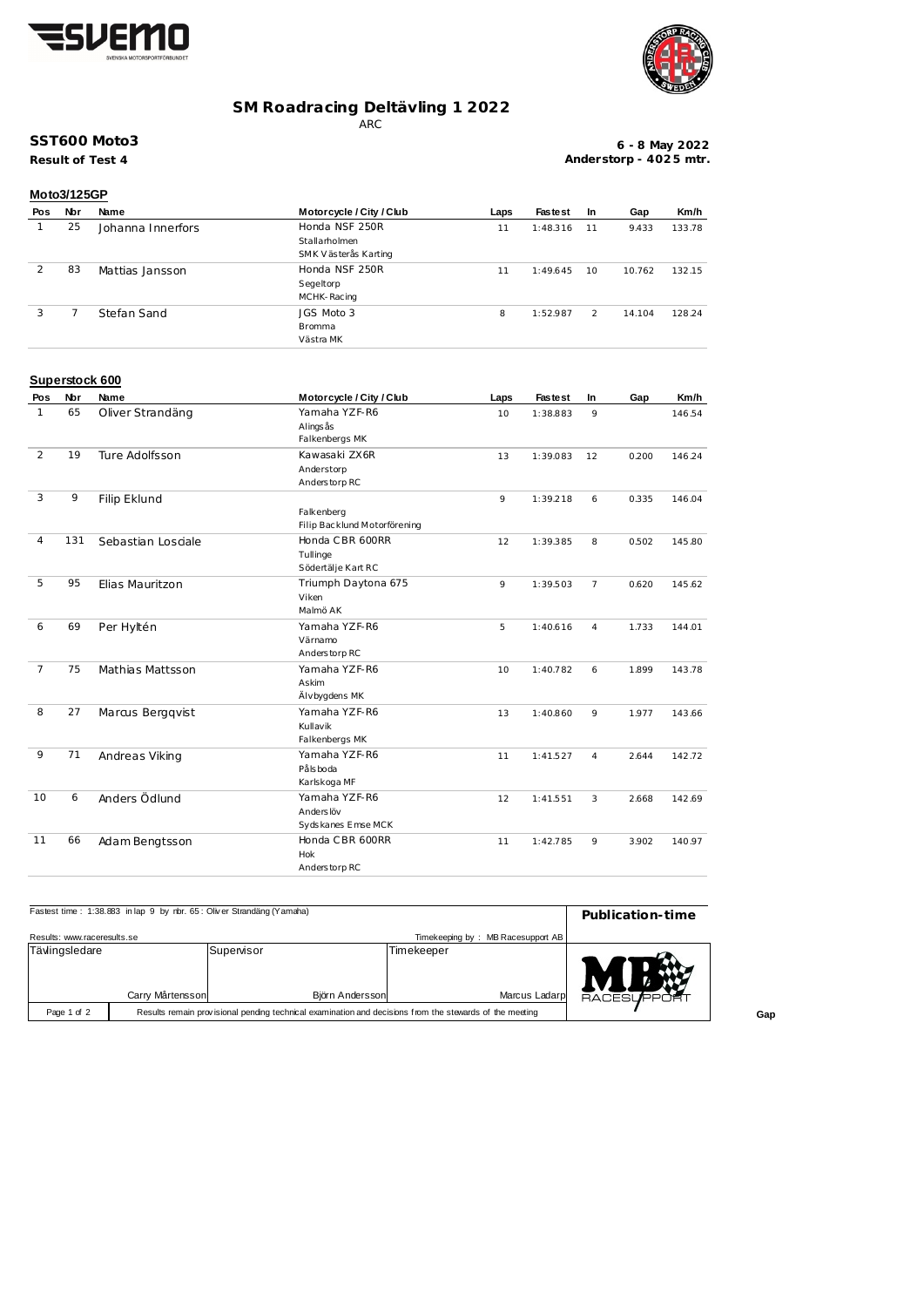



## **SM Roadracing Deltävling 1 2022**

ARC

## **SST600 Moto3**

**Result of Test 4**

**6 - 8 May 2022 Anderstorp - 402 5 mtr.**

| Moto3/125GP |     |                   |                          |      |                |         |        |        |
|-------------|-----|-------------------|--------------------------|------|----------------|---------|--------|--------|
| Pos         | Nbr | Name              | Motorcycle / City / Club | Laps | <b>Fastest</b> | In      | Gap    | Km/h   |
|             | 25  | Johanna Innerfors | Honda NSF 250R           | 11   | 1:48.316       | 11      | 9.433  | 133.78 |
|             |     |                   | Stallarholmen            |      |                |         |        |        |
|             |     |                   | SMK Västerås Karting     |      |                |         |        |        |
|             | 83  | Mattias Jansson   | Honda NSF 250R           | 11   | 1:49.645       | $10 \,$ | 10.762 | 132.15 |
|             |     |                   | Segeltorp                |      |                |         |        |        |
|             |     |                   | MCHK-Racing              |      |                |         |        |        |
| 3           |     | Stefan Sand       | JGS Moto 3               | 8    | 1:52.987       | 2       | 14.104 | 128.24 |
|             |     |                   | <b>Bromma</b>            |      |                |         |        |        |
|             |     |                   | Västra MK                |      |                |         |        |        |

#### **Superstock 600**

| Pos            | Nbr | Name               | Motorcycle / City / Club     | Laps | <b>Fastest</b> | In             | Gap   | Km/h   |
|----------------|-----|--------------------|------------------------------|------|----------------|----------------|-------|--------|
| 1              | 65  | Oliver Strandäng   | Yamaha YZF-R6                | 10   | 1:38.883       | 9              |       | 146.54 |
|                |     |                    | Alings ås                    |      |                |                |       |        |
|                |     |                    | Falkenbergs MK               |      |                |                |       |        |
| 2              | 19  | Ture Adolfsson     | Kawasaki ZX6R                | 13   | 1:39.083       | 12             | 0.200 | 146.24 |
|                |     |                    | Anderstorp                   |      |                |                |       |        |
|                |     |                    | Anderstorp RC                |      |                |                |       |        |
| 3              | 9   | Filip Eklund       |                              | 9    | 1:39.218       | 6              | 0.335 | 146.04 |
|                |     |                    | Falkenberg                   |      |                |                |       |        |
|                |     |                    | Filip Backlund Motorförening |      |                |                |       |        |
| 4              | 131 | Sebastian Losciale | Honda CBR 600RR              | 12   | 1:39.385       | 8              | 0.502 | 145.80 |
|                |     |                    | Tullinge                     |      |                |                |       |        |
|                |     |                    | Södertälje Kart RC           |      |                |                |       |        |
| 5              | 95  | Elias Mauritzon    | Triumph Daytona 675          | 9    | 1:39.503       | $\overline{7}$ | 0.620 | 145.62 |
|                |     |                    | Viken                        |      |                |                |       |        |
|                |     |                    | Malmö AK                     |      |                |                |       |        |
| 6              | 69  | Per Hyltén         | Yamaha YZF-R6                | 5    | 1:40.616       | $\overline{4}$ | 1.733 | 144.01 |
|                |     |                    | Värnamo                      |      |                |                |       |        |
|                |     |                    | Anderstorp RC                |      |                |                |       |        |
| $\overline{7}$ | 75  | Mathias Mattsson   | Yamaha YZF-R6                | 10   | 1:40.782       | 6              | 1.899 | 143.78 |
|                |     |                    | Askim                        |      |                |                |       |        |
|                |     |                    | Älvbygdens MK                |      |                |                |       |        |
| 8              | 27  | Marcus Bergqvist   | Yamaha YZF-R6                | 13   | 1:40.860       | 9              | 1.977 | 143.66 |
|                |     |                    | Kullavik                     |      |                |                |       |        |
|                |     |                    | Falkenbergs MK               |      |                |                |       |        |
| 9              | 71  | Andreas Viking     | Yamaha YZF-R6                | 11   | 1:41.527       | $\overline{4}$ | 2.644 | 142.72 |
|                |     |                    | Påls boda                    |      |                |                |       |        |
|                |     |                    | Karlskoga MF                 |      |                |                |       |        |
| 10             | 6   | Anders Ödlund      | Yamaha YZF-R6                | 12   | 1:41.551       | 3              | 2.668 | 142.69 |
|                |     |                    | Anders löv                   |      |                |                |       |        |
|                |     |                    | Sydskanes Emse MCK           |      |                |                |       |        |
| 11             | 66  | Adam Bengtsson     | Honda CBR 600RR              | 11   | 1:42.785       | 9              | 3.902 | 140.97 |
|                |     |                    | <b>Hok</b>                   |      |                |                |       |        |
|                |     |                    | Anderstorp RC                |      |                |                |       |        |

| Fastest time: 1:38.883 in lap 9 by nbr. 65: Oliver Strandäng (Yamaha) | Publication-time |                                                                                                         |                             |                                   |        |  |
|-----------------------------------------------------------------------|------------------|---------------------------------------------------------------------------------------------------------|-----------------------------|-----------------------------------|--------|--|
| Results: www.raceresults.se                                           |                  |                                                                                                         |                             | Timekeeping by: MB Racesupport AB |        |  |
| Tävlingsledare                                                        | Carry Mårtensson | Supenisor<br>Björn Andersson                                                                            | Timekeeper<br>Marcus Ladarp |                                   | RACESU |  |
| Page 1 of 2                                                           |                  | Results remain provisional pending technical examination and decisions from the stewards of the meeting |                             |                                   |        |  |

**Gap**